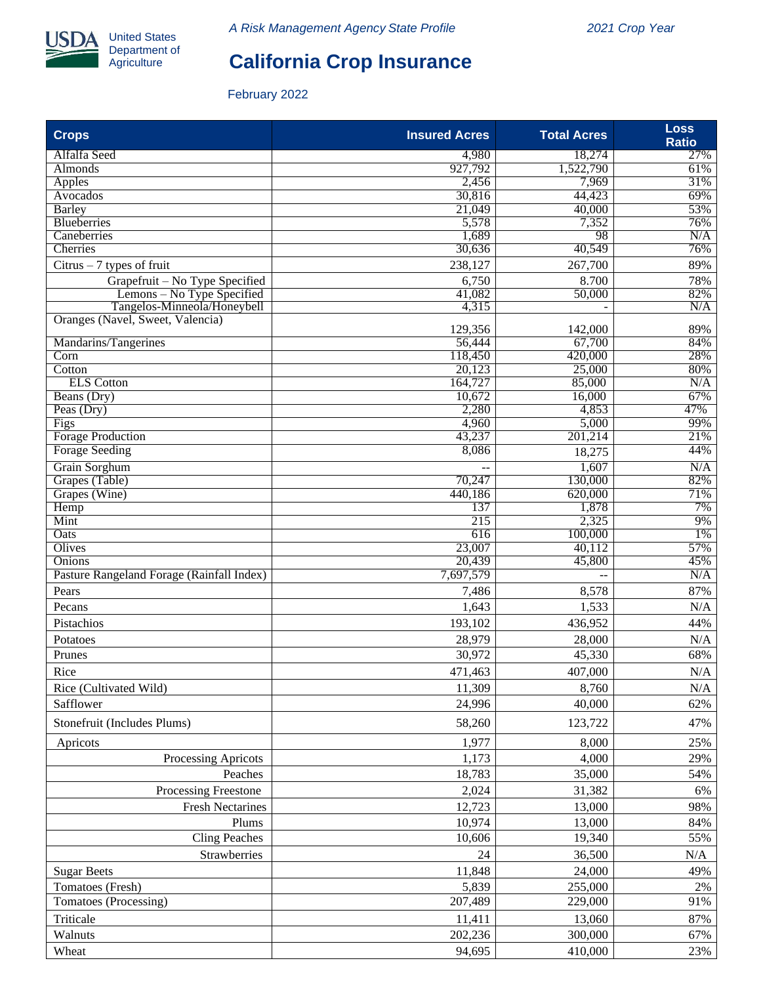

# **California Crop Insurance**

### February 2022

| <b>Crops</b>                                              | <b>Insured Acres</b> | <b>Total Acres</b> | <b>Loss</b><br><b>Ratio</b> |
|-----------------------------------------------------------|----------------------|--------------------|-----------------------------|
| Alfalfa Seed                                              | 4,980                | 18,274             | 27%                         |
| <b>Almonds</b>                                            | 927,792              | 1,522,790          | 61%                         |
| Apples                                                    | 2,456                | 7,969              | 31%                         |
| Avocados                                                  | 30,816               | 44,423             | 69%                         |
| Barley                                                    | 21,049               | 40,000             | 53%                         |
| <b>Blueberries</b>                                        | 5,578                | 7,352              | 76%                         |
| Caneberries                                               | 1,689                | 98                 | N/A<br>76%                  |
| Cherries                                                  | 30,636               | 40,549             |                             |
| $Citrus - 7$ types of fruit                               | 238,127              | 267,700            | 89%                         |
| Grapefruit – No Type Specified                            | 6,750                | 8.700              | 78%                         |
| Lemons – No Type Specified<br>Tangelos-Minneola/Honeybell | 41,082<br>4,315      | 50,000             | 82%<br>N/A                  |
| Oranges (Navel, Sweet, Valencia)                          |                      |                    |                             |
|                                                           | 129,356              | 142,000            | 89%                         |
| Mandarins/Tangerines                                      | 56,444               | 67,700             | 84%                         |
| Corn                                                      | 118,450              | 420,000            | 28%                         |
| Cotton                                                    | 20,123               | 25,000             | 80%                         |
| <b>ELS</b> Cotton                                         | 164,727              | 85,000             | N/A                         |
| Beans (Dry)                                               | 10,672               | 16,000             | 67%                         |
| Peas (Dry)                                                | 2,280                | 4,853              | 47%                         |
| Figs                                                      | 4,960                | 5,000              | 99%                         |
| <b>Forage Production</b>                                  | 43,237               | 201,214            | 21%                         |
| <b>Forage Seeding</b>                                     | 8,086                | 18,275             | 44%                         |
| Grain Sorghum                                             | $-$                  | 1,607              | N/A                         |
| Grapes (Table)                                            | 70,247               | 130,000            | 82%                         |
| Grapes (Wine)                                             | 440,186              | 620,000            | 71%<br>7%                   |
| Hemp<br>Mint                                              | 137<br>215           | 1,878<br>2,325     | 9%                          |
| Oats                                                      | 616                  | 100,000            | 1%                          |
| Olives                                                    | 23,007               | 40,112             | 57%                         |
| Onions                                                    | 20,439               | 45,800             | 45%                         |
| Pasture Rangeland Forage (Rainfall Index)                 | 7,697,579            |                    | N/A                         |
| Pears                                                     | 7,486                | 8,578              | 87%                         |
| Pecans                                                    | 1,643                | 1,533              | N/A                         |
|                                                           |                      |                    |                             |
| Pistachios                                                | 193,102              | 436,952            | 44%                         |
| Potatoes                                                  | 28,979               | 28,000             | N/A                         |
| Prunes                                                    | 30,972               | 45,330             | 68%                         |
| Rice                                                      | 471,463              | 407,000            | $\rm N/A$                   |
| Rice (Cultivated Wild)                                    | 11,309               | 8,760              | N/A                         |
| Safflower                                                 | 24,996               | 40,000             | 62%                         |
| Stonefruit (Includes Plums)                               | 58,260               | 123,722            | 47%                         |
| Apricots                                                  | 1,977                | 8,000              | 25%                         |
| Processing Apricots                                       | 1,173                | 4,000              | 29%                         |
| Peaches                                                   | 18,783               | 35,000             | 54%                         |
| Processing Freestone                                      | 2,024                | 31,382             | 6%                          |
| <b>Fresh Nectarines</b>                                   | 12,723               | 13,000             | 98%                         |
|                                                           |                      |                    |                             |
| Plums                                                     | 10,974               | 13,000             | 84%                         |
| <b>Cling Peaches</b>                                      | 10,606               | 19,340             | 55%                         |
| Strawberries                                              | 24                   | 36,500             | N/A                         |
| <b>Sugar Beets</b>                                        | 11,848               | 24,000             | 49%                         |
| Tomatoes (Fresh)                                          | 5,839                | 255,000            | 2%                          |
| Tomatoes (Processing)                                     | 207,489              | 229,000            | 91%                         |
| Triticale                                                 | 11,411               | 13,060             | 87%                         |
| Walnuts                                                   | 202,236              | 300,000            | 67%                         |
| Wheat                                                     | 94,695               | 410,000            | 23%                         |
|                                                           |                      |                    |                             |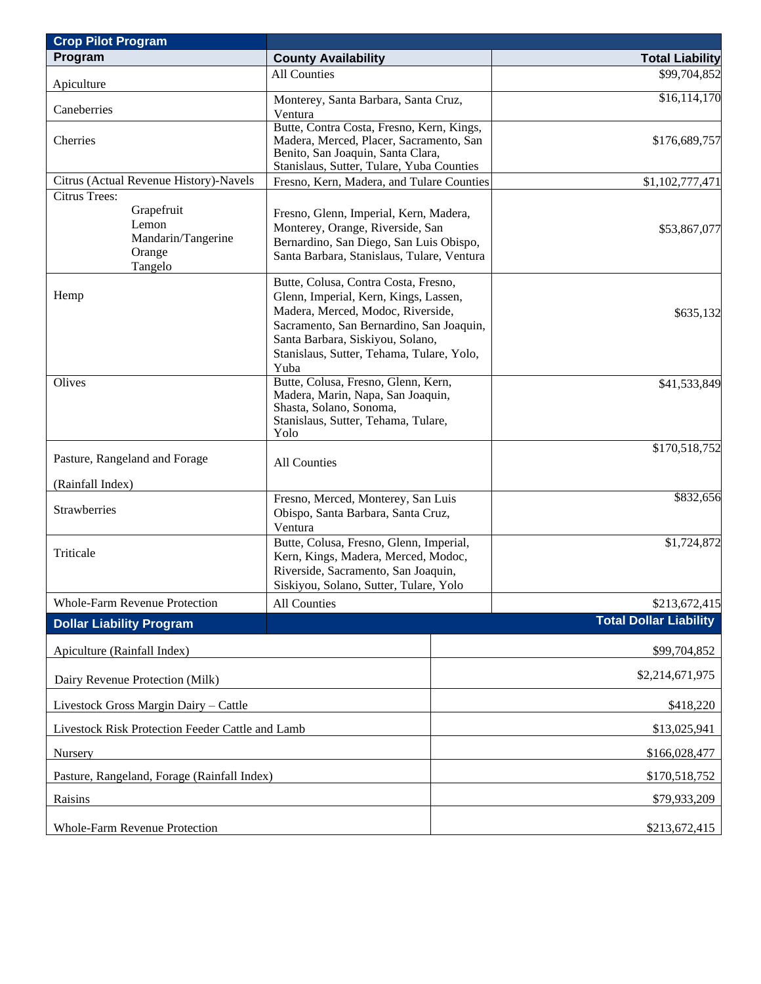| <b>Crop Pilot Program</b>                                                              |                                                                                                                                                                                                                                                         |               |                               |  |  |
|----------------------------------------------------------------------------------------|---------------------------------------------------------------------------------------------------------------------------------------------------------------------------------------------------------------------------------------------------------|---------------|-------------------------------|--|--|
| Program                                                                                | <b>County Availability</b>                                                                                                                                                                                                                              |               | <b>Total Liability</b>        |  |  |
| Apiculture                                                                             | <b>All Counties</b>                                                                                                                                                                                                                                     |               | \$99,704,852                  |  |  |
| Caneberries                                                                            | Monterey, Santa Barbara, Santa Cruz,<br>Ventura                                                                                                                                                                                                         |               | \$16,114,170                  |  |  |
| Cherries                                                                               | Butte, Contra Costa, Fresno, Kern, Kings,<br>Madera, Merced, Placer, Sacramento, San<br>Benito, San Joaquin, Santa Clara,<br>Stanislaus, Sutter, Tulare, Yuba Counties                                                                                  |               | \$176,689,757                 |  |  |
| Citrus (Actual Revenue History)-Navels                                                 | Fresno, Kern, Madera, and Tulare Counties                                                                                                                                                                                                               |               | \$1,102,777,471               |  |  |
| <b>Citrus Trees:</b><br>Grapefruit<br>Lemon<br>Mandarin/Tangerine<br>Orange<br>Tangelo | Fresno, Glenn, Imperial, Kern, Madera,<br>Monterey, Orange, Riverside, San<br>Bernardino, San Diego, San Luis Obispo,<br>Santa Barbara, Stanislaus, Tulare, Ventura                                                                                     |               | \$53,867,077                  |  |  |
| Hemp                                                                                   | Butte, Colusa, Contra Costa, Fresno,<br>Glenn, Imperial, Kern, Kings, Lassen,<br>Madera, Merced, Modoc, Riverside,<br>Sacramento, San Bernardino, San Joaquin,<br>Santa Barbara, Siskiyou, Solano,<br>Stanislaus, Sutter, Tehama, Tulare, Yolo,<br>Yuba |               | \$635,132                     |  |  |
| Olives                                                                                 | Butte, Colusa, Fresno, Glenn, Kern,<br>Madera, Marin, Napa, San Joaquin,<br>Shasta, Solano, Sonoma,<br>Stanislaus, Sutter, Tehama, Tulare,<br>Yolo                                                                                                      |               | \$41,533,849                  |  |  |
| Pasture, Rangeland and Forage                                                          | All Counties                                                                                                                                                                                                                                            |               | \$170,518,752                 |  |  |
| (Rainfall Index)                                                                       |                                                                                                                                                                                                                                                         |               |                               |  |  |
| Strawberries                                                                           | Fresno, Merced, Monterey, San Luis<br>Obispo, Santa Barbara, Santa Cruz,<br>Ventura                                                                                                                                                                     |               | \$832,656                     |  |  |
| Triticale                                                                              | Butte, Colusa, Fresno, Glenn, Imperial,<br>Kern, Kings, Madera, Merced, Modoc,<br>Riverside, Sacramento, San Joaquin,<br>Siskiyou, Solano, Sutter, Tulare, Yolo                                                                                         |               | \$1,724,872                   |  |  |
| <b>Whole-Farm Revenue Protection</b>                                                   | All Counties                                                                                                                                                                                                                                            |               | \$213,672,415                 |  |  |
| <b>Dollar Liability Program</b>                                                        |                                                                                                                                                                                                                                                         |               | <b>Total Dollar Liability</b> |  |  |
| Apiculture (Rainfall Index)                                                            |                                                                                                                                                                                                                                                         | \$99,704,852  |                               |  |  |
| Dairy Revenue Protection (Milk)                                                        |                                                                                                                                                                                                                                                         |               | \$2,214,671,975               |  |  |
| Livestock Gross Margin Dairy - Cattle                                                  |                                                                                                                                                                                                                                                         |               | \$418,220                     |  |  |
| Livestock Risk Protection Feeder Cattle and Lamb                                       |                                                                                                                                                                                                                                                         |               | \$13,025,941                  |  |  |
| Nursery                                                                                |                                                                                                                                                                                                                                                         | \$166,028,477 |                               |  |  |
| Pasture, Rangeland, Forage (Rainfall Index)                                            |                                                                                                                                                                                                                                                         | \$170,518,752 |                               |  |  |
| Raisins                                                                                |                                                                                                                                                                                                                                                         | \$79,933,209  |                               |  |  |
| <b>Whole-Farm Revenue Protection</b>                                                   |                                                                                                                                                                                                                                                         |               | \$213,672,415                 |  |  |